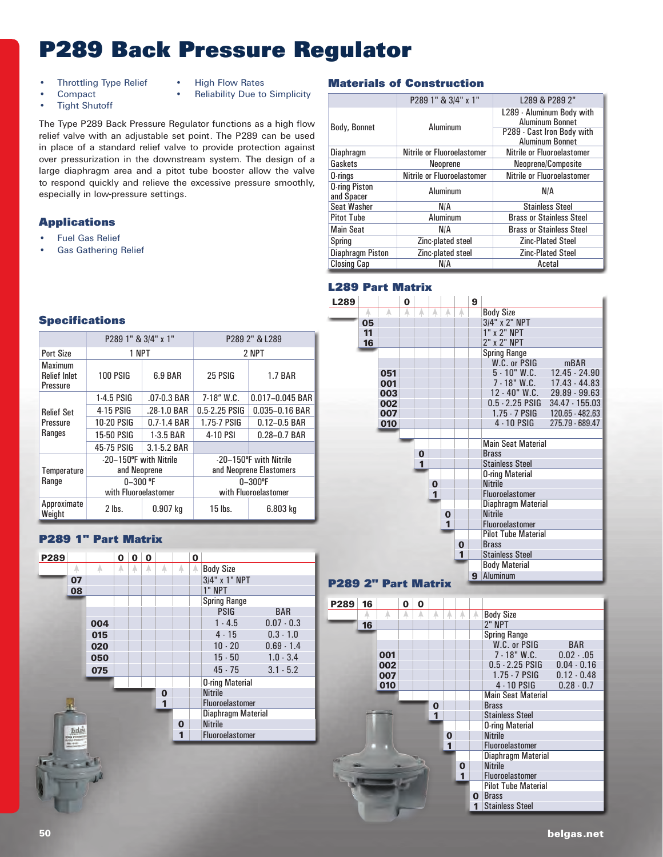# **P289 Back Pressure Regulator**

- Throttling Type Relief High Flow Rates
	-
- 
- **Tight Shutoff**

**Compact** • **Reliability Due to Simplicity** 

The Type P289 Back Pressure Regulator functions as a high flow relief valve with an adjustable set point. The P289 can be used in place of a standard relief valve to provide protection against over pressurization in the downstream system. The design of a large diaphragm area and a pitot tube booster allow the valve to respond quickly and relieve the excessive pressure smoothly, especially in low-pressure settings.

#### **Applications**

- **Fuel Gas Relief**
- **Gas Gathering Relief**

#### **Materials of Construction**

|                                    | P289 1" & 3/4" x 1"        | L289 & P289 2"                                       |  |
|------------------------------------|----------------------------|------------------------------------------------------|--|
| Body, Bonnet                       | Aluminum                   | L289 - Aluminum Body with<br><b>Aluminum Bonnet</b>  |  |
|                                    |                            | P289 - Cast Iron Body with<br><b>Aluminum Bonnet</b> |  |
| <b>Diaphragm</b>                   | Nitrile or Fluoroelastomer | Nitrile or Fluoroelastomer                           |  |
| Gaskets                            | Neoprene                   | Neoprene/Composite                                   |  |
| $0$ -rings                         | Nitrile or Fluoroelastomer | Nitrile or Fluoroelastomer                           |  |
| <b>O-ring Piston</b><br>and Spacer | Aluminum                   | N/A                                                  |  |
| Seat Washer                        | N/A                        | <b>Stainless Steel</b>                               |  |
| <b>Pitot Tube</b>                  | Aluminum                   | <b>Brass or Stainless Steel</b>                      |  |
| <b>Main Seat</b>                   | N/A                        | <b>Brass or Stainless Steel</b>                      |  |
| Spring                             | Zinc-plated steel          | <b>Zinc-Plated Steel</b>                             |  |
| Diaphragm Piston                   | Zinc-plated steel          | <b>Zinc-Plated Steel</b>                             |  |
| <b>Closing Cap</b>                 | N/A                        | Acetal                                               |  |

#### **L289 Part Matrix**

#### **Specifications**

|                                                          | P289 1" & 3/4" x 1"                    |             | P289 2" & L289                                    |                  |  |
|----------------------------------------------------------|----------------------------------------|-------------|---------------------------------------------------|------------------|--|
| <b>Port Size</b>                                         | 1 NPT                                  |             | 2 NPT                                             |                  |  |
| <b>Maximum</b><br><b>Relief Inlet</b><br><b>Pressure</b> | <b>100 PSIG</b>                        | 6.9 BAR     | 25 PSIG                                           | <b>1.7 BAR</b>   |  |
| <b>Relief Set</b><br>Pressure<br>Ranges                  | 1-4.5 PSIG                             | .07-0.3 BAR | $7.18''$ W.C.                                     | 0.017-0.045 BAR  |  |
|                                                          | 4-15 PSIG                              | .28-1.0 BAR | 0.5-2.25 PSIG                                     | 0.035-0.16 BAR   |  |
|                                                          | 10-20 PSIG                             | 0.7-1.4 BAR | 1.75-7 PSIG                                       | $0.12 - 0.5$ BAR |  |
|                                                          | 15-50 PSIG                             | 1-3.5 BAR   | 4-10 PSI                                          | $0.28 - 0.7$ BAR |  |
|                                                          | 45-75 PSIG                             | 3.1-5.2 BAR |                                                   |                  |  |
| <b>Temperature</b>                                       | -20-150°F with Nitrile<br>and Neoprene |             | -20-150°F with Nitrile<br>and Neoprene Elastomers |                  |  |
| Range                                                    | $0 - 300$ °F<br>with Fluoroelastomer   |             | $0 - 300^{\circ}$ F<br>with Fluoroelastomer       |                  |  |
| Approximate<br>Weight                                    | $2$ lbs.                               | $0.907$ kg  | $15$ lbs.                                         | 6.803 kg         |  |

#### **P289 1" Part Matrix**





#### **P289 2" Part Matrix**

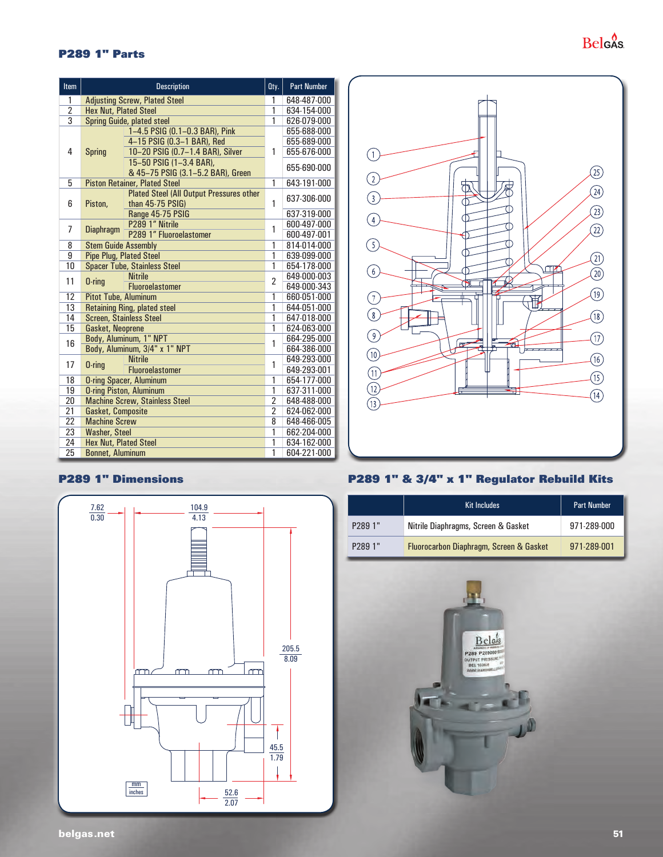#### **P289 1" Parts**

| Item            | <b>Description</b>                    |                                                 | Oty.           | <b>Part Number</b> |
|-----------------|---------------------------------------|-------------------------------------------------|----------------|--------------------|
| 1               | <b>Adjusting Screw, Plated Steel</b>  |                                                 | 1              | 648-487-000        |
| $\overline{2}$  | <b>Hex Nut, Plated Steel</b>          |                                                 | $\overline{1}$ | 634-154-000        |
| $\overline{3}$  |                                       | Spring Guide, plated steel                      | 1              | 626-079-000        |
|                 |                                       | 1-4.5 PSIG (0.1-0.3 BAR), Pink                  |                | 655-688-000        |
|                 |                                       | 4-15 PSIG (0.3-1 BAR), Red                      |                | 655-689-000        |
| 4               | <b>Spring</b>                         | 10-20 PSIG (0.7-1.4 BAR), Silver                | $\mathbf{1}$   | 655-676-000        |
|                 |                                       | 15-50 PSIG (1-3.4 BAR),                         |                | 655-690-000        |
|                 |                                       | & 45-75 PSIG (3.1-5.2 BAR), Green               |                |                    |
| 5               |                                       | <b>Piston Retainer, Plated Steel</b>            | 1              | 643-191-000        |
|                 |                                       | <b>Plated Steel (All Output Pressures other</b> |                | 637-306-000        |
| 6               | Piston,                               | than 45-75 PSIG)                                | $\mathbf{1}$   |                    |
|                 |                                       | Range 45-75 PSIG                                |                | 637-319-000        |
| 7               | <b>Diaphragm</b>                      | P289 1" Nitrile                                 | 1              | 600-497-000        |
|                 |                                       | P289 1" Fluoroelastomer                         |                | 600-497-001        |
| 8               | <b>Stem Guide Assembly</b>            |                                                 | $\overline{1}$ | 814-014-000        |
| 9               | <b>Pipe Plug, Plated Steel</b>        |                                                 | 1              | 639-099-000        |
| 10              |                                       | <b>Spacer Tube, Stainless Steel</b>             | 1              | 654-178-000        |
| 11              | $0$ -ring                             | <b>Nitrile</b>                                  | $\overline{2}$ | 649-000-003        |
|                 |                                       | <b>Fluoroelastomer</b>                          |                | 649-000-343        |
| 12              | <b>Pitot Tube, Aluminum</b>           |                                                 | $\overline{1}$ | 660-051-000        |
| $\overline{13}$ | <b>Retaining Ring, plated steel</b>   |                                                 | 1              | 644-051-000        |
| 14              | <b>Screen, Stainless Steel</b>        |                                                 | 1              | 647-018-000        |
| 15              | <b>Gasket, Neoprene</b>               |                                                 | 1              | 624-063-000        |
| 16              | Body, Aluminum, 1" NPT                |                                                 | 1              | 664-295-000        |
|                 |                                       | Body, Aluminum, 3/4" x 1" NPT                   |                | 664-386-000        |
| 17              | $0$ -ring                             | <b>Nitrile</b>                                  | $\mathbf{1}$   | 649-293-000        |
|                 |                                       | <b>Fluoroelastomer</b>                          |                | 649-293-001        |
| 18              | <b>O-ring Spacer, Aluminum</b>        |                                                 | $\overline{1}$ | 654-177-000        |
| 19              |                                       | <b>O-ring Piston, Aluminum</b>                  | 1              | 637-311-000        |
| $\overline{20}$ | <b>Machine Screw, Stainless Steel</b> |                                                 | $\overline{2}$ | 648-488-000        |
| $\overline{21}$ | Gasket, Composite                     |                                                 | $\overline{2}$ | 624-062-000        |
| 22              | <b>Machine Screw</b>                  |                                                 | 8              | 648-466-005        |
| $\overline{23}$ | <b>Washer, Steel</b>                  |                                                 | 1              | 662-204-000        |
| 24              | <b>Hex Nut, Plated Steel</b>          |                                                 | 1              | 634-162-000        |
| 25              | <b>Bonnet, Aluminum</b>               |                                                 | 1              | 604-221-000        |





|                     | <b>Kit Includes</b>                     | <b>Part Number</b> |
|---------------------|-----------------------------------------|--------------------|
| P <sub>289</sub> 1" | Nitrile Diaphragms, Screen & Gasket     | 971-289-000        |
| P <sub>289</sub> 1" | Fluorocarbon Diaphragm, Screen & Gasket | 971-289-001        |



### **P289 1" Dimensions**



 $Bels<sup>0</sup>$ <sub>As</sub>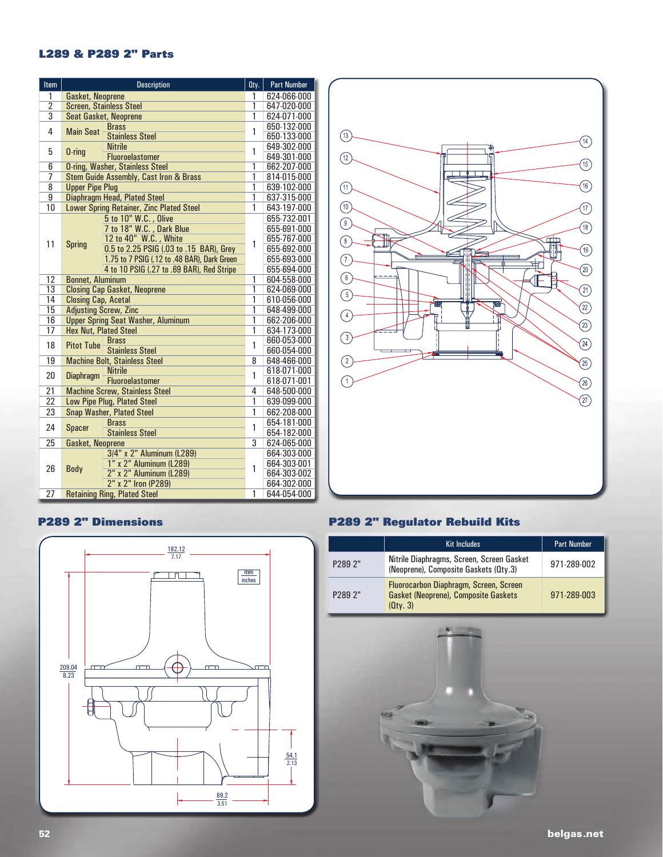#### **L289 & P289 2" Parts**

| Item            | <b>Description</b>                                       |                | <b>Part Number</b> |
|-----------------|----------------------------------------------------------|----------------|--------------------|
| 1               | Gasket, Neoprene                                         | 1              | 624-066-000        |
| $\overline{2}$  | <b>Screen, Stainless Steel</b>                           | 1              | 647-020-000        |
| $\overline{3}$  | Seat Gasket, Neoprene                                    | 1              | 624-071-000        |
| 4               | <b>Brass</b><br><b>Main Seat</b>                         | $\overline{1}$ | 650-132-000        |
|                 | <b>Stainless Steel</b>                                   |                | 650-133-000        |
| 5               | <b>Nitrile</b><br>0-ring                                 | 1              | 649-302-000        |
|                 | <b>Fluoroelastomer</b>                                   |                | 649-301-000        |
| 6               | <b>O-ring, Washer, Stainless Steel</b>                   | 1              | 662-207-000        |
| 7               | <b>Stem Guide Assembly, Cast Iron &amp; Brass</b>        | $\overline{1}$ | 814-015-000        |
| 8               | <b>Upper Pipe Plug</b>                                   | 1              | 639-102-000        |
| 9               | Diaphragm Head, Plated Steel                             | 1              | 637-315-000        |
| 10              | Lower Spring Retainer, Zinc Plated Steel                 | 1              | 643-197-000        |
|                 | 5 to 10" W.C., Olive                                     |                | 655-732-001        |
|                 | 7 to 18" W.C., Dark Blue                                 |                | 655-691-000        |
|                 | 12 to 40" W.C., White                                    |                | 655-767-000        |
| 11              | <b>Spring</b><br>0.5 to 2.25 PSIG (.03 to .15 BAR), Grey | 1              | 655-692-000        |
|                 | 1.75 to 7 PSIG (.12 to .48 BAR), Dark Green              |                | 655-693-000        |
|                 | 4 to 10 PSIG (.27 to .69 BAR), Red Stripe                |                | 655-694-000        |
| 12              | <b>Bonnet, Aluminum</b>                                  | 1              | 604-558-000        |
| $\overline{13}$ | <b>Closing Cap Gasket, Neoprene</b>                      | 1              | 624-069-000        |
| 14              | <b>Closing Cap, Acetal</b>                               |                | 610-056-000        |
| $\overline{15}$ | <b>Adjusting Screw, Zinc</b>                             |                | 648-499-000        |
| 16              | <b>Upper Spring Seat Washer, Aluminum</b>                |                | 662-206-000        |
| 17              | <b>Hex Nut, Plated Steel</b>                             |                | 634-173-000        |
| 18              | <b>Brass</b><br><b>Pitot Tube</b>                        | 1              | 660-053-000        |
|                 | <b>Stainless Steel</b>                                   |                | 660-054-000        |
| $\overline{19}$ | <b>Machine Bolt, Stainless Steel</b>                     | 8              | 648-466-000        |
| 20              | <b>Nitrile</b>                                           | 1              | 618-071-000        |
|                 | <b>Diaphragm</b><br>Fluoroelastomer                      |                | 618-071-001        |
| 21              | <b>Machine Screw, Stainless Steel</b>                    | 4              | 648-500-000        |
| $\overline{22}$ | Low Pipe Plug, Plated Steel                              | 1              | 639-099-000        |
| $\overline{23}$ | <b>Snap Washer, Plated Steel</b>                         | 1              | 662-208-000        |
| 24              | <b>Brass</b>                                             | 1              | 654-181-000        |
|                 | <b>Spacer</b><br><b>Stainless Steel</b>                  |                | 654-182-000        |
| 25              | Gasket, Neoprene                                         | 3              | 624-065-000        |
|                 | 3/4" x 2" Aluminum (L289)                                |                | 664-303-000        |
|                 | 1" x 2" Aluminum (L289)                                  |                | 664-303-001        |
| 26              | <b>Body</b><br>2" x 2" Aluminum (L289)                   | 1              | 664-303-002        |
|                 | 2" x 2" Iron (P289)                                      |                | 664-302-000        |
| $\overline{27}$ | <b>Retaining Ring, Plated Steel</b>                      | $\overline{1}$ | 644-054-000        |



#### **P289 2" Dimensions**



## **P289 2" Regulator Rebuild Kits**

|                     | <b>Kit Includes</b>                                                                               | <b>Part Number</b> |
|---------------------|---------------------------------------------------------------------------------------------------|--------------------|
| P <sub>289</sub> 2" | Nitrile Diaphragms, Screen, Screen Gasket<br>(Neoprene), Composite Gaskets (Qty.3)                | 971-289-002        |
| P <sub>289</sub> 2" | Fluorocarbon Diaphragm, Screen, Screen<br><b>Gasket (Neoprene), Composite Gaskets</b><br>(Qty. 3) | 971-289-003        |